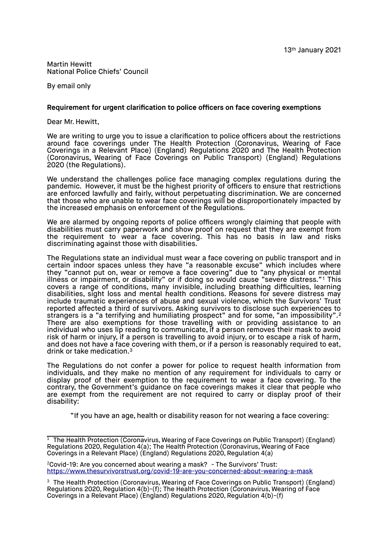## Martin Hewitt National Police Chiefs' Council

By email only

## **Requirement for urgent clarification to police officers on face covering exemptions**

Dear Mr. Hewitt,

We are writing to urge you to issue a clarification to police officers about the restrictions around face coverings under The Health Protection (Coronavirus, Wearing of Face Coverings in a Relevant Place) (England) Regulations 2020 and The Health Protection (Coronavirus, Wearing of Face Coverings on Public Transport) (England) Regulations 2020 (the Regulations).

We understand the challenges police face managing complex regulations during the pandemic. However, it must be the highest priority of officers to ensure that restrictions are enforced lawfully and fairly, without perpetuating discrimination. We are concerned that those who are unable to wear face coverings will be disproportionately impacted by the increased emphasis on enforcement of the Regulations.

We are alarmed by ongoing reports of police officers wrongly claiming that people with disabilities must carry paperwork and show proof on request that they are exempt from the requirement to wear a face covering. This has no basis in law and risks discriminating against those with disabilities.

The Regulations state an individual must wear a face covering on public transport and in certain indoor spaces unless they have "a reasonable excuse" which includes where they "cannot put on, wear or remove a face covering" due to "any physical or mental illness or impairment, or disability" or if doing so would cause "severe distress."<sup>[1](#page-0-0)</sup> This covers a range of conditions, many invisible, including breathing difficulties, learning disabilities, sight loss and mental health conditions. Reasons for severe distress may include traumatic experiences of abuse and sexual violence, which the Survivors' Trust reported affected a third of survivors. Asking survivors to disclose such experiences to strangers is a "a terrifying and humiliating prospect" and for some, "an impossibility".<sup>[2](#page-0-1)</sup> There are also exemptions for those travelling with or providing assistance to an individual who uses lip reading to communicate, if a person removes their mask to avoid risk of harm or injury, if a person is travelling to avoid injury, or to escape a risk of harm, and does not have a face covering with them, or if a person is reasonably required to eat, drink or take medication.[3](#page-0-2)

The Regulations do not confer a power for police to request health information from individuals, and they make no mention of any requirement for individuals to carry or display proof of their exemption to the requirement to wear a face covering. To the contrary, the Government's guidance on face coverings makes it clear that people who are exempt from the requirement are not required to carry or display proof of their disability:

"If you have an age, health or disability reason for not wearing a face covering:

<span id="page-0-0"></span> $\frac{1}{1}$  The Health Protection (Coronavirus, Wearing of Face Coverings on Public Transport) (England) Regulations 2020, Regulation 4(a); The Health Protection (Coronavirus, Wearing of Face Coverings in a Relevant Place) (England) Regulations 2020, Regulation 4(a)

<span id="page-0-1"></span> $2$ Covid-19: Are you concerned about wearing a mask? - The Survivors' Trust: <https://www.thesurvivorstrust.org/covid-19-are-you-concerned-about-wearing-a-mask>

<span id="page-0-2"></span><sup>&</sup>lt;sup>3</sup> The Health Protection (Coronavirus, Wearing of Face Coverings on Public Transport) (England) Regulations 2020, Regulation 4(b)-(f); The Health Protection (Coronavirus, Wearing of Face Coverings in a Relevant Place) (England) Regulations 2020, Regulation 4(b)-(f)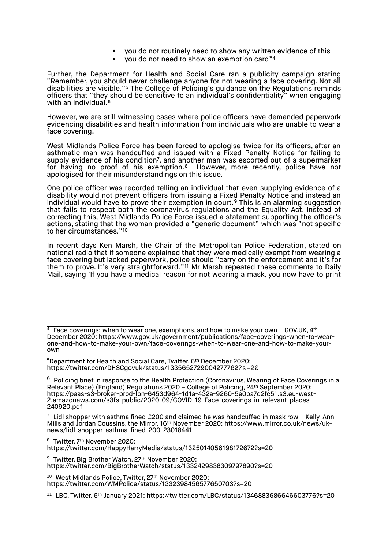- you do not routinely need to show any written evidence of this
- you do not need to show an exemption card" [4](#page-1-0)

Further, the Department for Health and Social Care ran a publicity campaign stating "Remember, you should never challenge anyone for not wearing a face covering. Not all disabilities are visible."[5](#page-1-1) The College of Policing's guidance on the Regulations reminds officers that "they should be sensitive to an individual's confidentiality" when engaging with an individual.[6](#page-1-2)

However, we are still witnessing cases where police officers have demanded paperwork evidencing disabilities and health information from individuals who are unable to wear a face covering.

West Midlands Police Force has been forced to apologise twice for its officers, after an asthmatic man was handcuffed and issued with a Fixed Penalty Notice for failing to supply evidence of his condition[7](#page-1-3) , and another man was escorted out of a supermarket for having no proof of his exemption.<sup>[8](#page-1-4)</sup> However, more recently, police have not apologised for their misunderstandings on this issue.

One police officer was recorded telling an individual that even supplying evidence of a disability would not prevent officers from issuing a Fixed Penalty Notice and instead an individual would have to prove their exemption in court.<sup>[9](#page-1-5)</sup> This is an alarming suggestion that fails to respect both the coronavirus regulations and the Equality Act. Instead of correcting this, West Midlands Police Force issued a statement supporting the officer's actions, stating that the woman provided a "generic document" which was "not specific to her circumstances."<sup>[10](#page-1-6)</sup>

In recent days Ken Marsh, the Chair of the Metropolitan Police Federation, stated on national radio that if someone explained that they were medically exempt from wearing a face covering but lacked paperwork, police should "carry on the enforcement and it's for them to prove. It's very straightforward."[11](#page-1-7) Mr Marsh repeated these comments to Daily Mail, saying 'If you have a medical reason for not wearing a mask, you now have to print

<span id="page-1-4"></span>8 Twitter, 7<sup>th</sup> November 2020:

https://twitter.com/HappyHarryMedia/status/1325014056198172672?s=20

<span id="page-1-5"></span><sup>9</sup> Twitter, Big Brother Watch, 27<sup>th</sup> November 2020: https://twitter.com/BigBrotherWatch/status/1332429838309797890?s=20

<span id="page-1-6"></span>10 West Midlands Police, Twitter, 27th November 2020: https://twitter.com/WMPolice/status/1332398456577650703?s=20

<span id="page-1-7"></span><sup>11</sup> LBC, Twitter, 6th January 2021: https://twitter.com/LBC/status/1346883686646603776?s=20

<span id="page-1-0"></span> $4$  Face coverings: when to wear one, exemptions, and how to make your own – GOV.UK,  $4<sup>th</sup>$ December 2020: https://www.gov.uk/government/publications/face-coverings-when-to-wearone-and-how-to-make-your-own/face-coverings-when-to-wear-one-and-how-to-make-yourown

<span id="page-1-1"></span><sup>5</sup>Department for Health and Social Care, Twitter, 6th December 2020: https://twitter.com/DHSCgovuk/status/1335652729004277762?s=20

<span id="page-1-2"></span> $6$  Policing brief in response to the Health Protection (Coronavirus, Wearing of Face Coverings in a Relevant Place) (England) Regulations 2020 – College of Policing, 24th September 2020: https://paas-s3-broker-prod-lon-6453d964-1d1a-432a-9260-5e0ba7d2fc51.s3.eu-west-2.amazonaws.com/s3fs-public/2020-09/COVID-19-Face-coverings-in-relevant-places-240920.pdf

<span id="page-1-3"></span> $7$  Lidl shopper with asthma fined £200 and claimed he was handcuffed in mask row – Kelly-Ann Mills and Jordan Coussins, the Mirror, 16th November 2020: https://www.mirror.co.uk/news/uknews/lidl-shopper-asthma-fined-200-23018441